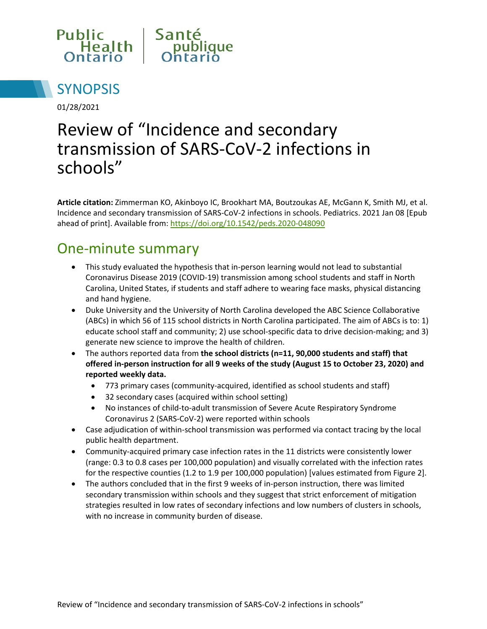



01/28/2021

# Review of "Incidence and secondary transmission of SARS-CoV-2 infections in schools"

**Article citation:** Zimmerman KO, Akinboyo IC, Brookhart MA, Boutzoukas AE, McGann K, Smith MJ, et al. Incidence and secondary transmission of SARS-CoV-2 infections in schools. Pediatrics. 2021 Jan 08 [Epub ahead of print]. Available from: <https://doi.org/10.1542/peds.2020-048090>

#### One-minute summary

- This study evaluated the hypothesis that in-person learning would not lead to substantial Coronavirus Disease 2019 (COVID-19) transmission among school students and staff in North Carolina, United States, if students and staff adhere to wearing face masks, physical distancing and hand hygiene.
- Duke University and the University of North Carolina developed the ABC Science Collaborative (ABCs) in which 56 of 115 school districts in North Carolina participated. The aim of ABCs is to: 1) educate school staff and community; 2) use school-specific data to drive decision-making; and 3) generate new science to improve the health of children.
- The authors reported data from **the school districts (n=11, 90,000 students and staff) that offered in-person instruction for all 9 weeks of the study (August 15 to October 23, 2020) and reported weekly data.** 
	- 773 primary cases (community-acquired, identified as school students and staff)
	- 32 secondary cases (acquired within school setting)
	- No instances of child-to-adult transmission of Severe Acute Respiratory Syndrome Coronavirus 2 (SARS-CoV-2) were reported within schools
- Case adjudication of within-school transmission was performed via contact tracing by the local public health department.
- Community-acquired primary case infection rates in the 11 districts were consistently lower (range: 0.3 to 0.8 cases per 100,000 population) and visually correlated with the infection rates for the respective counties (1.2 to 1.9 per 100,000 population) [values estimated from Figure 2].
- The authors concluded that in the first 9 weeks of in-person instruction, there was limited secondary transmission within schools and they suggest that strict enforcement of mitigation strategies resulted in low rates of secondary infections and low numbers of clusters in schools, with no increase in community burden of disease.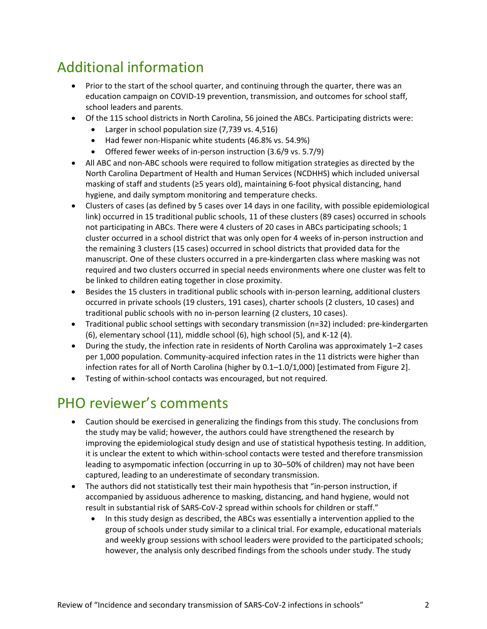## Additional information

- Prior to the start of the school quarter, and continuing through the quarter, there was an education campaign on COVID-19 prevention, transmission, and outcomes for school staff, school leaders and parents.
- Of the 115 school districts in North Carolina, 56 joined the ABCs. Participating districts were:
	- Larger in school population size (7,739 vs. 4,516)
	- Had fewer non-Hispanic white students (46.8% vs. 54.9%)
	- Offered fewer weeks of in-person instruction (3.6/9 vs. 5.7/9)
- All ABC and non-ABC schools were required to follow mitigation strategies as directed by the North Carolina Department of Health and Human Services (NCDHHS) which included universal masking of staff and students (≥5 years old), maintaining 6-foot physical distancing, hand hygiene, and daily symptom monitoring and temperature checks.
- Clusters of cases (as defined by 5 cases over 14 days in one facility, with possible epidemiological link) occurred in 15 traditional public schools, 11 of these clusters (89 cases) occurred in schools not participating in ABCs. There were 4 clusters of 20 cases in ABCs participating schools; 1 cluster occurred in a school district that was only open for 4 weeks of in-person instruction and the remaining 3 clusters (15 cases) occurred in school districts that provided data for the manuscript. One of these clusters occurred in a pre-kindergarten class where masking was not required and two clusters occurred in special needs environments where one cluster was felt to be linked to children eating together in close proximity.
- Besides the 15 clusters in traditional public schools with in-person learning, additional clusters occurred in private schools (19 clusters, 191 cases), charter schools (2 clusters, 10 cases) and traditional public schools with no in-person learning (2 clusters, 10 cases).
- Traditional public school settings with secondary transmission (n=32) included: pre-kindergarten (6), elementary school (11), middle school (6), high school (5), and K-12 (4).
- During the study, the infection rate in residents of North Carolina was approximately 1–2 cases per 1,000 population. Community-acquired infection rates in the 11 districts were higher than infection rates for all of North Carolina (higher by 0.1–1.0/1,000) [estimated from Figure 2].
- Testing of within-school contacts was encouraged, but not required.

#### PHO reviewer's comments

- Caution should be exercised in generalizing the findings from this study. The conclusions from the study may be valid; however, the authors could have strengthened the research by improving the epidemiological study design and use of statistical hypothesis testing. In addition, it is unclear the extent to which within-school contacts were tested and therefore transmission leading to asympomatic infection (occurring in up to 30–50% of children) may not have been captured, leading to an underestimate of secondary transmission.
- The authors did not statistically test their main hypothesis that "in-person instruction, if accompanied by assiduous adherence to masking, distancing, and hand hygiene, would not result in substantial risk of SARS-CoV-2 spread within schools for children or staff."
	- In this study design as described, the ABCs was essentially a intervention applied to the group of schools under study similar to a clinical trial. For example, educational materials and weekly group sessions with school leaders were provided to the participated schools; however, the analysis only described findings from the schools under study. The study